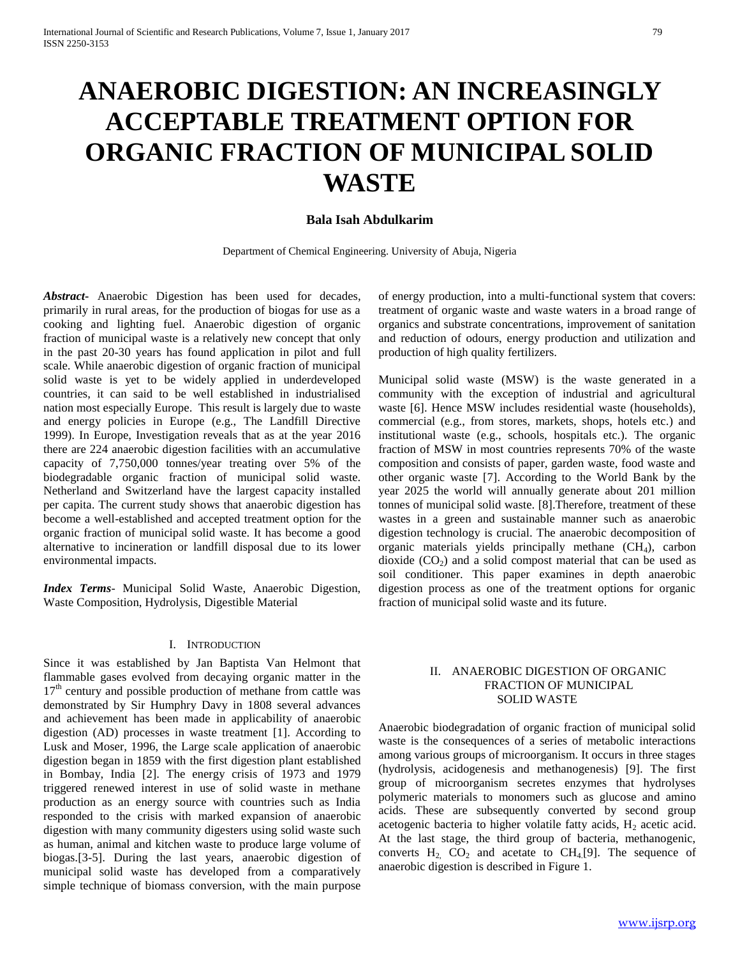# **ANAEROBIC DIGESTION: AN INCREASINGLY ACCEPTABLE TREATMENT OPTION FOR ORGANIC FRACTION OF MUNICIPAL SOLID WASTE**

# **Bala Isah Abdulkarim**

Department of Chemical Engineering. University of Abuja, Nigeria

*Abstract***-** Anaerobic Digestion has been used for decades, primarily in rural areas, for the production of biogas for use as a cooking and lighting fuel. Anaerobic digestion of organic fraction of municipal waste is a relatively new concept that only in the past 20-30 years has found application in pilot and full scale. While anaerobic digestion of organic fraction of municipal solid waste is yet to be widely applied in underdeveloped countries, it can said to be well established in industrialised nation most especially Europe. This result is largely due to waste and energy policies in Europe (e.g., The Landfill Directive 1999). In Europe, Investigation reveals that as at the year 2016 there are 224 anaerobic digestion facilities with an accumulative capacity of 7,750,000 tonnes/year treating over 5% of the biodegradable organic fraction of municipal solid waste. Netherland and Switzerland have the largest capacity installed per capita. The current study shows that anaerobic digestion has become a well-established and accepted treatment option for the organic fraction of municipal solid waste. It has become a good alternative to incineration or landfill disposal due to its lower environmental impacts.

*Index Terms*- Municipal Solid Waste, Anaerobic Digestion, Waste Composition, Hydrolysis, Digestible Material

# I. INTRODUCTION

Since it was established by Jan Baptista Van Helmont that flammable gases evolved from decaying organic matter in the 17<sup>th</sup> century and possible production of methane from cattle was demonstrated by Sir Humphry Davy in 1808 several advances and achievement has been made in applicability of anaerobic digestion (AD) processes in waste treatment [1]. According to Lusk and Moser, 1996, the Large scale application of anaerobic digestion began in 1859 with the first digestion plant established in Bombay, India [2]. The energy crisis of 1973 and 1979 triggered renewed interest in use of solid waste in methane production as an energy source with countries such as India responded to the crisis with marked expansion of anaerobic digestion with many community digesters using solid waste such as human, animal and kitchen waste to produce large volume of biogas.[3-5]. During the last years, anaerobic digestion of municipal solid waste has developed from a comparatively simple technique of biomass conversion, with the main purpose

of energy production, into a multi-functional system that covers: treatment of organic waste and waste waters in a broad range of organics and substrate concentrations, improvement of sanitation and reduction of odours, energy production and utilization and production of high quality fertilizers.

Municipal solid waste (MSW) is the waste generated in a community with the exception of industrial and agricultural waste [6]. Hence MSW includes residential waste (households), commercial (e.g., from stores, markets, shops, hotels etc.) and institutional waste (e.g., schools, hospitals etc.). The organic fraction of MSW in most countries represents 70% of the waste composition and consists of paper, garden waste, food waste and other organic waste [7]. According to the World Bank by the year 2025 the world will annually generate about 201 million tonnes of municipal solid waste. [8].Therefore, treatment of these wastes in a green and sustainable manner such as anaerobic digestion technology is crucial. The anaerobic decomposition of organic materials yields principally methane  $(CH<sub>4</sub>)$ , carbon dioxide  $(CO<sub>2</sub>)$  and a solid compost material that can be used as soil conditioner. This paper examines in depth anaerobic digestion process as one of the treatment options for organic fraction of municipal solid waste and its future.

## II. ANAEROBIC DIGESTION OF ORGANIC FRACTION OF MUNICIPAL SOLID WASTE

Anaerobic biodegradation of organic fraction of municipal solid waste is the consequences of a series of metabolic interactions among various groups of microorganism. It occurs in three stages (hydrolysis, acidogenesis and methanogenesis) [9]. The first group of microorganism secretes enzymes that hydrolyses polymeric materials to monomers such as glucose and amino acids. These are subsequently converted by second group acetogenic bacteria to higher volatile fatty acids,  $H_2$  acetic acid. At the last stage, the third group of bacteria, methanogenic, converts  $H_2$  CO<sub>2</sub> and acetate to CH<sub>4</sub>[9]. The sequence of anaerobic digestion is described in Figure 1.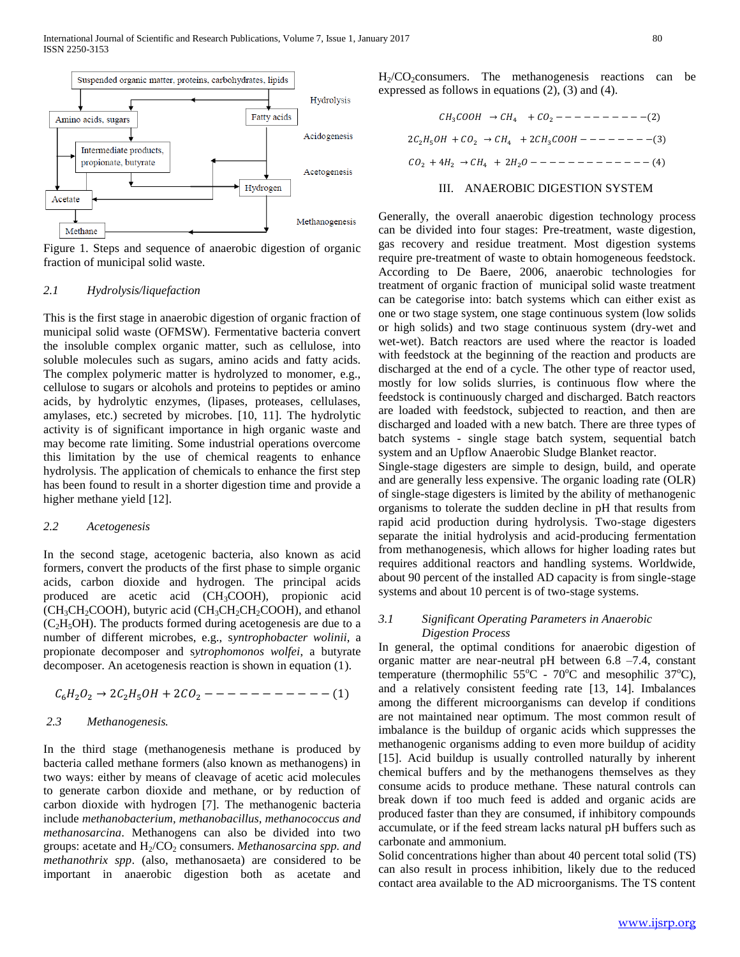

Figure 1. Steps and sequence of anaerobic digestion of organic fraction of municipal solid waste.

#### *2.1 Hydrolysis/liquefaction*

This is the first stage in anaerobic digestion of organic fraction of municipal solid waste (OFMSW). Fermentative bacteria convert the insoluble complex organic matter, such as cellulose, into soluble molecules such as sugars, amino acids and fatty acids. The complex polymeric matter is hydrolyzed to monomer, e.g., cellulose to sugars or alcohols and proteins to peptides or amino acids, by hydrolytic enzymes, (lipases, proteases, cellulases, amylases, etc.) secreted by microbes. [10, 11]. The hydrolytic activity is of significant importance in high organic waste and may become rate limiting. Some industrial operations overcome this limitation by the use of chemical reagents to enhance hydrolysis. The application of chemicals to enhance the first step has been found to result in a shorter digestion time and provide a higher methane yield [12].

#### *2.2 Acetogenesis*

In the second stage, acetogenic bacteria, also known as acid formers, convert the products of the first phase to simple organic acids, carbon dioxide and hydrogen. The principal acids produced are acetic acid (CH3COOH), propionic acid (CH<sub>3</sub>CH<sub>2</sub>COOH), butyric acid (CH<sub>3</sub>CH<sub>2</sub>CH<sub>2</sub>COOH), and ethanol  $(C_2H_5OH)$ . The products formed during acetogenesis are due to a number of different microbes, e.g., s*yntrophobacter wolinii*, a propionate decomposer and s*ytrophomonos wolfei*, a butyrate decomposer. An acetogenesis reaction is shown in equation (1).

62<sup>2</sup> → 225 + 2<sup>2</sup> −− − − −− − − − −− (1)

#### *2.3 Methanogenesis.*

In the third stage (methanogenesis methane is produced by bacteria called methane formers (also known as methanogens) in two ways: either by means of cleavage of acetic acid molecules to generate carbon dioxide and methane, or by reduction of carbon dioxide with hydrogen [7]. The methanogenic bacteria include *methanobacterium, methanobacillus, methanococcus and methanosarcina*. Methanogens can also be divided into two groups: acetate and H<sub>2</sub>/CO<sub>2</sub> consumers. *Methanosarcina spp. and methanothrix spp*. (also, methanosaeta) are considered to be important in anaerobic digestion both as acetate and

 $H_2/CO_2$ consumers. The methanogenesis reactions can be expressed as follows in equations (2), (3) and (4).

$$
CH_3COOH \rightarrow CH_4 + CO_2 - - - - - - - - - - - (2)
$$
  

$$
2C_2H_5OH + CO_2 \rightarrow CH_4 + 2CH_3COOH - - - - - - - - - - - (3)
$$
  

$$
CO_2 + 4H_2 \rightarrow CH_4 + 2H_2O - - - - - - - - - - - - - - - (4)
$$

#### III. ANAEROBIC DIGESTION SYSTEM

Generally, the overall anaerobic digestion technology process can be divided into four stages: Pre-treatment, waste digestion, gas recovery and residue treatment. Most digestion systems require pre-treatment of waste to obtain homogeneous feedstock. According to De Baere, 2006, anaerobic technologies for treatment of organic fraction of municipal solid waste treatment can be categorise into: batch systems which can either exist as one or two stage system, one stage continuous system (low solids or high solids) and two stage continuous system (dry-wet and wet-wet). Batch reactors are used where the reactor is loaded with feedstock at the beginning of the reaction and products are discharged at the end of a cycle. The other type of reactor used, mostly for low solids slurries, is continuous flow where the feedstock is continuously charged and discharged. Batch reactors are loaded with feedstock, subjected to reaction, and then are discharged and loaded with a new batch. There are three types of batch systems - single stage batch system, sequential batch system and an Upflow Anaerobic Sludge Blanket reactor.

Single-stage digesters are simple to design, build, and operate and are generally less expensive. The organic loading rate (OLR) of single-stage digesters is limited by the ability of methanogenic organisms to tolerate the sudden decline in pH that results from rapid acid production during hydrolysis. Two-stage digesters separate the initial hydrolysis and acid-producing fermentation from methanogenesis, which allows for higher loading rates but requires additional reactors and handling systems. Worldwide, about 90 percent of the installed AD capacity is from single-stage systems and about 10 percent is of two-stage systems.

#### *3.1 Significant Operating Parameters in Anaerobic Digestion Process*

In general, the optimal conditions for anaerobic digestion of organic matter are near-neutral pH between 6.8 –7.4, constant temperature (thermophilic  $55^{\circ}$ C -  $70^{\circ}$ C and mesophilic  $37^{\circ}$ C), and a relatively consistent feeding rate [13, 14]. Imbalances among the different microorganisms can develop if conditions are not maintained near optimum. The most common result of imbalance is the buildup of organic acids which suppresses the methanogenic organisms adding to even more buildup of acidity [15]. Acid buildup is usually controlled naturally by inherent chemical buffers and by the methanogens themselves as they consume acids to produce methane. These natural controls can break down if too much feed is added and organic acids are produced faster than they are consumed, if inhibitory compounds accumulate, or if the feed stream lacks natural pH buffers such as carbonate and ammonium.

Solid concentrations higher than about 40 percent total solid (TS) can also result in process inhibition, likely due to the reduced contact area available to the AD microorganisms. The TS content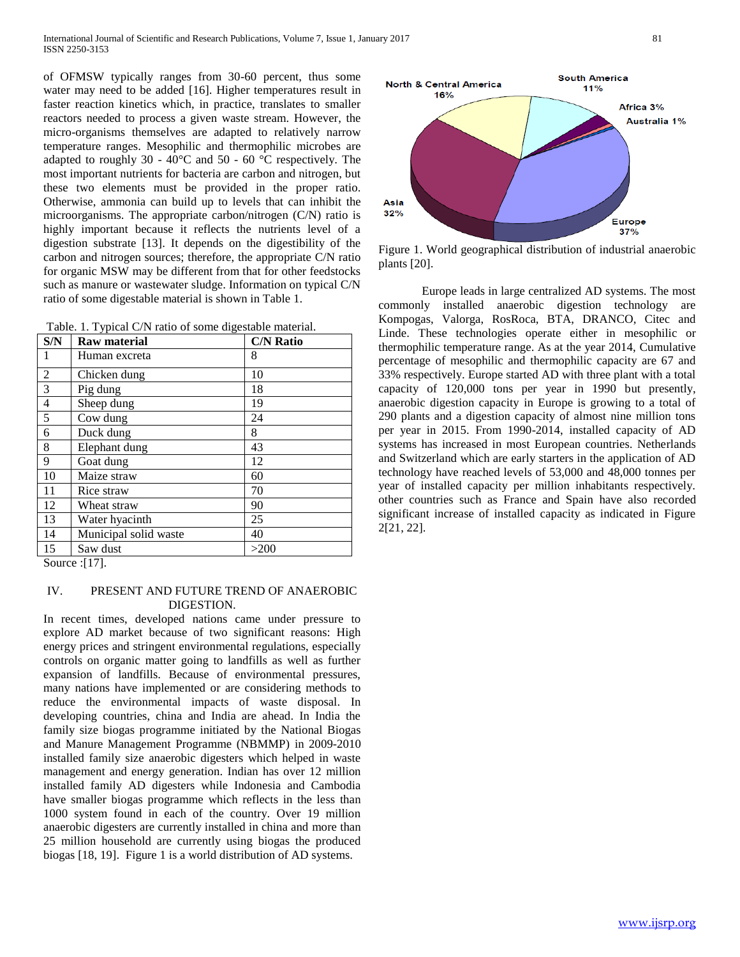of OFMSW typically ranges from 30-60 percent, thus some water may need to be added [16]. Higher temperatures result in faster reaction kinetics which, in practice, translates to smaller reactors needed to process a given waste stream. However, the micro-organisms themselves are adapted to relatively narrow temperature ranges. Mesophilic and thermophilic microbes are adapted to roughly 30 - 40°C and 50 - 60 °C respectively. The most important nutrients for bacteria are carbon and nitrogen, but these two elements must be provided in the proper ratio. Otherwise, ammonia can build up to levels that can inhibit the microorganisms. The appropriate carbon/nitrogen (C/N) ratio is highly important because it reflects the nutrients level of a digestion substrate [13]. It depends on the digestibility of the carbon and nitrogen sources; therefore, the appropriate C/N ratio for organic MSW may be different from that for other feedstocks such as manure or wastewater sludge. Information on typical C/N ratio of some digestable material is shown in Table 1.

|  |  |  | Table. 1. Typical C/N ratio of some digestable material. |  |
|--|--|--|----------------------------------------------------------|--|
|--|--|--|----------------------------------------------------------|--|

| S/N | <b>Raw material</b>   | <b>C/N Ratio</b> |
|-----|-----------------------|------------------|
| 1   | Human excreta         | 8                |
| 2   | Chicken dung          | 10               |
| 3   | Pig dung              | 18               |
| 4   | Sheep dung            | 19               |
| 5   | Cow dung              | 24               |
| 6   | Duck dung             | 8                |
| 8   | Elephant dung         | 43               |
| 9   | Goat dung             | 12               |
| 10  | Maize straw           | 60               |
| 11  | Rice straw            | 70               |
| 12  | Wheat straw           | 90               |
| 13  | Water hyacinth        | 25               |
| 14  | Municipal solid waste | 40               |
| 15  | Saw dust              | >200             |

Source :[17].

## IV. PRESENT AND FUTURE TREND OF ANAEROBIC DIGESTION.

In recent times, developed nations came under pressure to explore AD market because of two significant reasons: High energy prices and stringent environmental regulations, especially controls on organic matter going to landfills as well as further expansion of landfills. Because of environmental pressures, many nations have implemented or are considering methods to reduce the environmental impacts of waste disposal. In developing countries, china and India are ahead. In India the family size biogas programme initiated by the National Biogas and Manure Management Programme (NBMMP) in 2009-2010 installed family size anaerobic digesters which helped in waste management and energy generation. Indian has over 12 million installed family AD digesters while Indonesia and Cambodia have smaller biogas programme which reflects in the less than 1000 system found in each of the country. Over 19 million anaerobic digesters are currently installed in china and more than 25 million household are currently using biogas the produced biogas [18, 19]. Figure 1 is a world distribution of AD systems.



Figure 1. World geographical distribution of industrial anaerobic plants [20].

Europe leads in large centralized AD systems. The most commonly installed anaerobic digestion technology are Kompogas, Valorga, RosRoca, BTA, DRANCO, Citec and Linde. These technologies operate either in mesophilic or thermophilic temperature range. As at the year 2014, Cumulative percentage of mesophilic and thermophilic capacity are 67 and 33% respectively. Europe started AD with three plant with a total capacity of 120,000 tons per year in 1990 but presently, anaerobic digestion capacity in Europe is growing to a total of 290 plants and a digestion capacity of almost nine million tons per year in 2015. From 1990-2014, installed capacity of AD systems has increased in most European countries. Netherlands and Switzerland which are early starters in the application of AD technology have reached levels of 53,000 and 48,000 tonnes per year of installed capacity per million inhabitants respectively. other countries such as France and Spain have also recorded significant increase of installed capacity as indicated in Figure 2[21, 22].